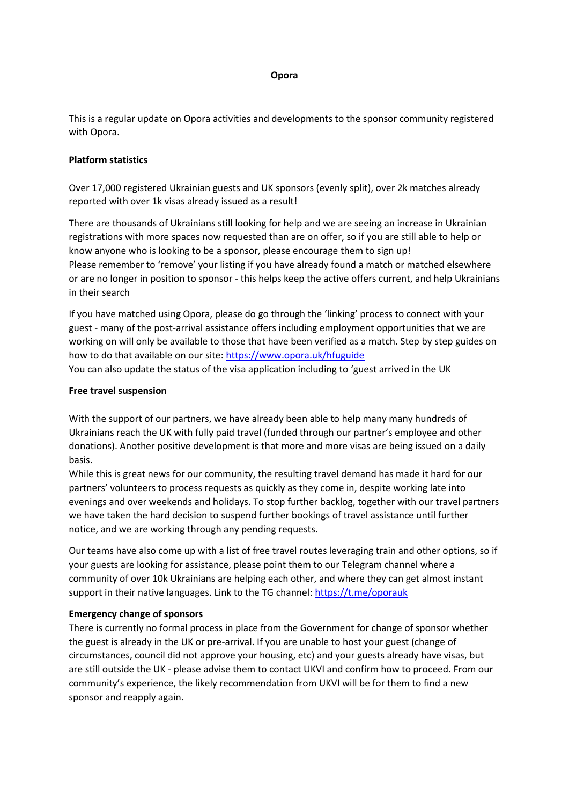# **Opora**

This is a regular update on Opora activities and developments to the sponsor community registered with Opora.

# **Platform statistics**

Over 17,000 registered Ukrainian guests and UK sponsors (evenly split), over 2k matches already reported with over 1k visas already issued as a result!

There are thousands of Ukrainians still looking for help and we are seeing an increase in Ukrainian registrations with more spaces now requested than are on offer, so if you are still able to help or know anyone who is looking to be a sponsor, please encourage them to sign up! Please remember to 'remove' your listing if you have already found a match or matched elsewhere or are no longer in position to sponsor - this helps keep the active offers current, and help Ukrainians in their search

If you have matched using Opora, please do go through the 'linking' process to connect with your guest - many of the post-arrival assistance offers including employment opportunities that we are working on will only be available to those that have been verified as a match. Step by step guides on how to do that available on our site:<https://www.opora.uk/hfuguide>

You can also update the status of the visa application including to 'guest arrived in the UK

#### **Free travel suspension**

With the support of our partners, we have already been able to help many many hundreds of Ukrainians reach the UK with fully paid travel (funded through our partner's employee and other donations). Another positive development is that more and more visas are being issued on a daily basis.

While this is great news for our community, the resulting travel demand has made it hard for our partners' volunteers to process requests as quickly as they come in, despite working late into evenings and over weekends and holidays. To stop further backlog, together with our travel partners we have taken the hard decision to suspend further bookings of travel assistance until further notice, and we are working through any pending requests.

Our teams have also come up with a list of free travel routes leveraging train and other options, so if your guests are looking for assistance, please point them to our Telegram channel where a community of over 10k Ukrainians are helping each other, and where they can get almost instant support in their native languages. Link to the TG channel[: https://t.me/oporauk](https://t.me/oporauk)

## **Emergency change of sponsors**

There is currently no formal process in place from the Government for change of sponsor whether the guest is already in the UK or pre-arrival. If you are unable to host your guest (change of circumstances, council did not approve your housing, etc) and your guests already have visas, but are still outside the UK - please advise them to contact UKVI and confirm how to proceed. From our community's experience, the likely recommendation from UKVI will be for them to find a new sponsor and reapply again.